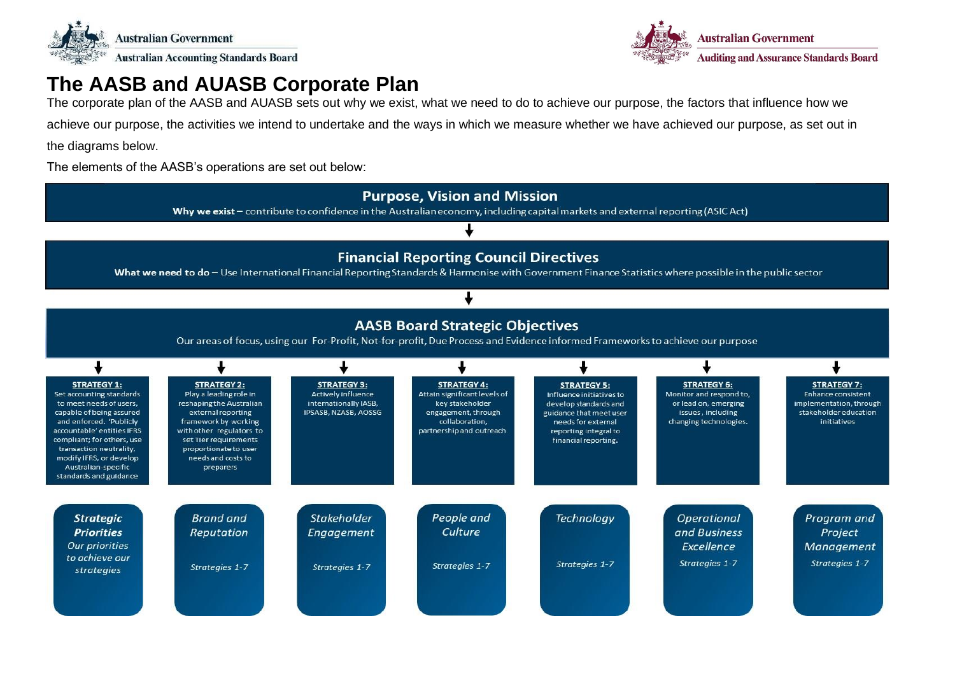



## **The AASB and AUASB Corporate Plan**

The corporate plan of the AASB and AUASB sets out why we exist, what we need to do to achieve our purpose, the factors that influence how we

achieve our purpose, the activities we intend to undertake and the ways in which we measure whether we have achieved our purpose, as set out in

the diagrams below.

The elements of the AASB's operations are set out below:

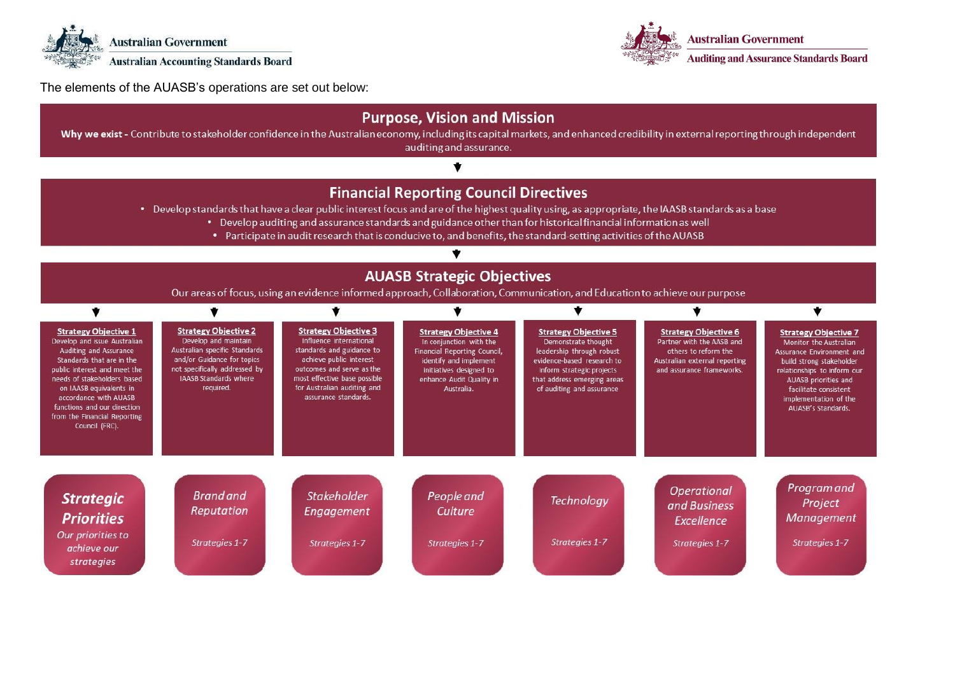



The elements of the AUASB's operations are set out below: